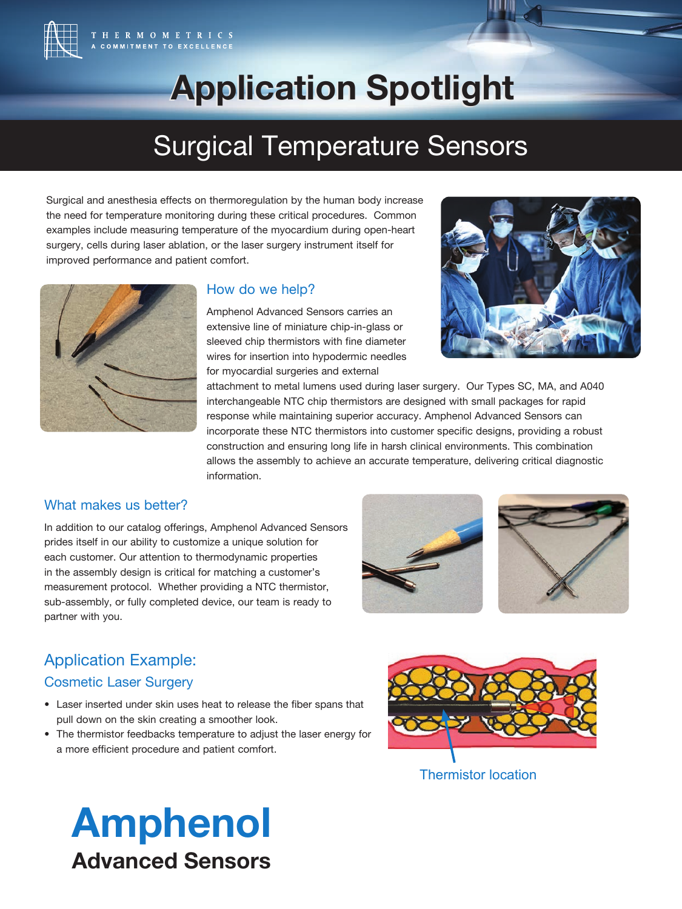

# **Application Spotlight Application Spotlight**

## Surgical Temperature Sensors

Surgical and anesthesia effects on thermoregulation by the human body increase the need for temperature monitoring during these critical procedures. Common examples include measuring temperature of the myocardium during open-heart surgery, cells during laser ablation, or the laser surgery instrument itself for improved performance and patient comfort.



### How do we help?

Amphenol Advanced Sensors carries an extensive line of miniature chip-in-glass or sleeved chip thermistors with fine diameter wires for insertion into hypodermic needles for myocardial surgeries and external



attachment to metal lumens used during laser surgery. Our Types SC, MA, and A040 interchangeable NTC chip thermistors are designed with small packages for rapid response while maintaining superior accuracy. Amphenol Advanced Sensors can incorporate these NTC thermistors into customer specific designs, providing a robust construction and ensuring long life in harsh clinical environments. This combination allows the assembly to achieve an accurate temperature, delivering critical diagnostic information.

### What makes us better?

In addition to our catalog offerings, Amphenol Advanced Sensors prides itself in our ability to customize a unique solution for each customer. Our attention to thermodynamic properties in the assembly design is critical for matching a customer's measurement protocol. Whether providing a NTC thermistor, sub-assembly, or fully completed device, our team is ready to partner with you.





### Application Example:

### Cosmetic Laser Surgery

- Laser inserted under skin uses heat to release the fiber spans that pull down on the skin creating a smoother look.
- The thermistor feedbacks temperature to adjust the laser energy for a more efficient procedure and patient comfort.



Thermistor location

## Amphenol Advanced Sensors